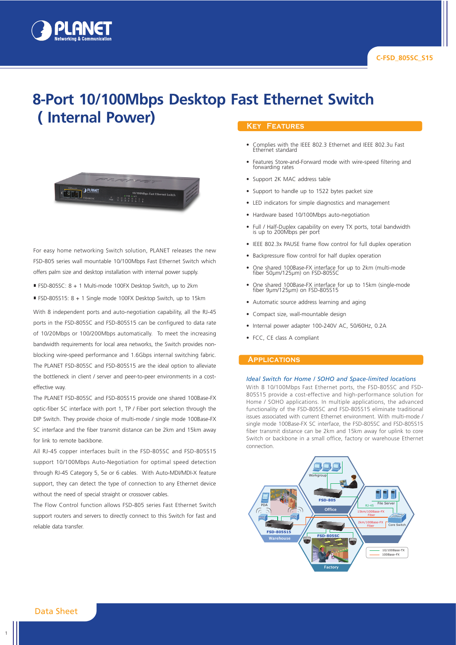

# **8-Port 10/100Mbps Desktop Fast Ethernet Switch ( Internal Power)**



For easy home networking Switch solution, PLANET releases the new FSD-805 series wall mountable 10/100Mbps Fast Ethernet Switch which offers palm size and desktop installation with internal power supply.

- FSD-805SC: 8 + 1 Multi-mode 100FX Desktop Switch, up to 2km
- FSD-805S15: 8 + 1 Single mode 100FX Desktop Switch, up to 15km

With 8 independent ports and auto-negotiation capability, all the RJ-45 ports in the FSD-805SC and FSD-805S15 can be configured to data rate of 10/20Mbps or 100/200Mbps automatically. To meet the increasing bandwidth requirements for local area networks, the Switch provides nonblocking wire-speed performance and 1.6Gbps internal switching fabric. The PLANET FSD-805SC and FSD-805S15 are the ideal option to alleviate the bottleneck in client / server and peer-to-peer environments in a costeffective way.

The PLANET FSD-805SC and FSD-805S15 provide one shared 100Base-FX optic-fiber SC interface with port 1, TP / Fiber port selection through the DIP Switch. They provide choice of multi-mode / single mode 100Base-FX SC interface and the fiber transmit distance can be 2km and 15km away for link to remote backbone.

All RJ-45 copper interfaces built in the FSD-805SC and FSD-805S15 support 10/100Mbps Auto-Negotiation for optimal speed detection through RJ-45 Category 5, 5e or 6 cables. With Auto-MDI/MDI-X feature support, they can detect the type of connection to any Ethernet device without the need of special straight or crossover cables.

The Flow Control function allows FSD-805 series Fast Ethernet Switch support routers and servers to directly connect to this Switch for fast and reliable data transfer.

#### **Key Features**

- Complies with the IEEE 802.3 Ethernet and IEEE 802.3u Fast Ethernet standard
- Features Store-and-Forward mode with wire-speed filtering and forwarding rates
- Support 2K MAC address table
- Support to handle up to 1522 bytes packet size
- LED indicators for simple diagnostics and management
- Hardware based 10/100Mbps auto-negotiation
- Full / Half-Duplex capability on every TX ports, total bandwidth is up to 200Mbps per port
- IEEE 802.3x PAUSE frame flow control for full duplex operation
- Backpressure flow control for half duplex operation
- One shared 100Base-FX interface for up to 2km (multi-mode fiber 50μm/125μm) on FSD-805SC
- One shared 100Base-FX interface for up to 15km (single-mode fiber 9μm/125μm) on FSD-805S15
- Automatic source address learning and aging
- Compact size, wall-mountable design
- Internal power adapter 100-240V AC, 50/60Hz, 0.2A
- FCC, CE class A compliant

### **Applications**

#### *Ideal Switch for Home / SOHO and Space-limited locations*

With 8 10/100Mbps Fast Ethernet ports, the FSD-805SC and FSD-805S15 provide a cost-effective and high-performance solution for Home / SOHO applications. In multiple applications, the advanced functionality of the FSD-805SC and FSD-805S15 eliminate traditional issues associated with current Ethernet environment. With multi-mode / single mode 100Base-FX SC interface, the FSD-805SC and FSD-805S15 fiber transmit distance can be 2km and 15km away for uplink to core Switch or backbone in a small office, factory or warehouse Ethernet connection.



Data Sheet

1